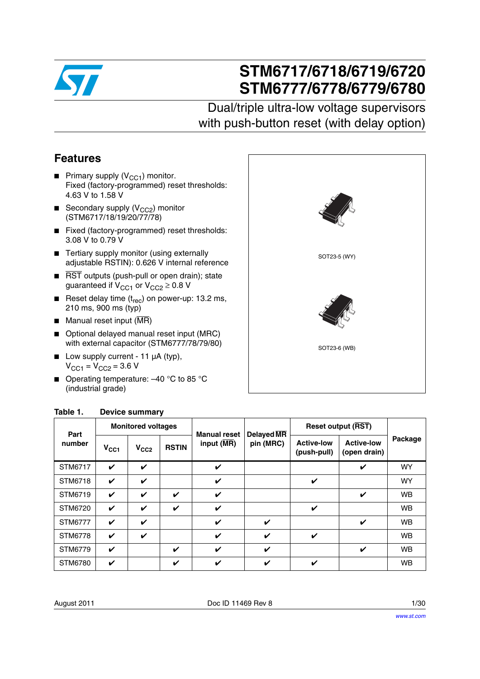

# **STM6717/6718/6719/6720 STM6777/6778/6779/6780**

# Dual/triple ultra-low voltage supervisors with push-button reset (with delay option)

### <span id="page-0-2"></span>**Features**

- **Primary supply (V<sub>CC1</sub>) monitor.** Fixed (factory-programmed) reset thresholds: 4.63 V to 1.58 V
- **■** Secondary supply ( $V_{CC2}$ ) monitor (STM6717/18/19/20/77/78)
- Fixed (factory-programmed) reset thresholds: 3.08 V to 0.79 V
- Tertiary supply monitor (using externally adjustable RSTIN): 0.626 V internal reference
- RST outputs (push-pull or open drain); state guaranteed if  $V_{CC1}$  or  $V_{CC2} \geq 0.8$  V
- Reset delay time  $(t_{rec})$  on power-up: 13.2 ms, 210 ms, 900 ms (typ)
- $\blacksquare$  Manual reset input ( $\overline{\text{MR}}$ )
- Optional delayed manual reset input (MRC) with external capacitor (STM6777/78/79/80)
- Low supply current 11 µA (typ),  $V_{CC1} = V_{CC2} = 3.6 V$
- Operating temperature: -40 °C to 85 °C (industrial grade)



| Part<br>number | <b>Monitored voltages</b> |                  |              |                                     |                                | <b>Reset output (RST)</b>        |                                   |           |
|----------------|---------------------------|------------------|--------------|-------------------------------------|--------------------------------|----------------------------------|-----------------------------------|-----------|
|                | $V_{\rm CC1}$             | V <sub>CC2</sub> | <b>RSTIN</b> | <b>Manual reset</b><br>input $(MR)$ | <b>Delayed MR</b><br>pin (MRC) | <b>Active-low</b><br>(push-pull) | <b>Active-low</b><br>(open drain) | Package   |
| STM6717        | V                         | V                |              | $\checkmark$                        |                                |                                  | V                                 | <b>WY</b> |
| STM6718        | V                         | V                |              | V                                   |                                | V                                |                                   | <b>WY</b> |
| STM6719        | V                         | V                | V            | V                                   |                                |                                  | V                                 | <b>WB</b> |
| STM6720        | V                         | V                | V            | V                                   |                                | V                                |                                   | <b>WB</b> |
| STM6777        | V                         | V                |              | V                                   | V                              |                                  | V                                 | <b>WB</b> |
| <b>STM6778</b> | V                         | V                |              | $\boldsymbol{\nu}$                  | V                              | V                                |                                   | <b>WB</b> |
| STM6779        | V                         |                  | V            | V                                   | V                              |                                  | V                                 | <b>WB</b> |
| <b>STM6780</b> | V                         |                  | V            | ✓                                   | V                              | V                                |                                   | <b>WB</b> |

### <span id="page-0-1"></span><span id="page-0-0"></span>**Table 1. Device summary**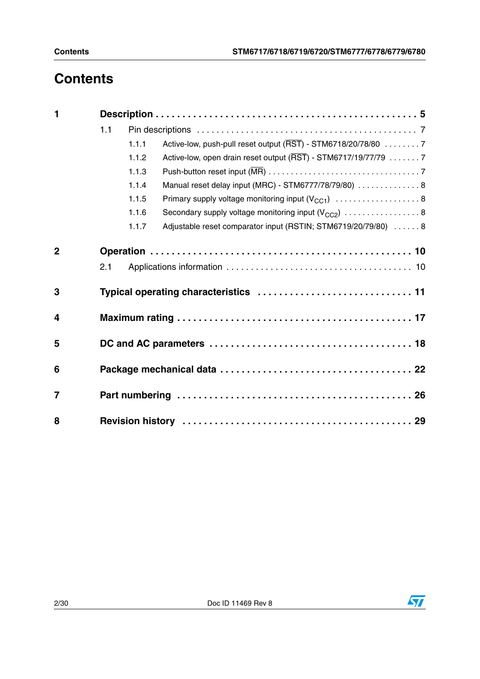# **Contents**

| $\mathbf{1}$ |     |       |                                                                |  |  |  |  |
|--------------|-----|-------|----------------------------------------------------------------|--|--|--|--|
|              | 1.1 |       |                                                                |  |  |  |  |
|              |     | 1.1.1 | Active-low, push-pull reset output (RST) - STM6718/20/78/80 7  |  |  |  |  |
|              |     | 1.1.2 | Active-low, open drain reset output (RST) - STM6717/19/77/79 7 |  |  |  |  |
|              |     | 1.1.3 |                                                                |  |  |  |  |
|              |     | 1.1.4 | Manual reset delay input (MRC) - STM6777/78/79/80)  8          |  |  |  |  |
|              |     | 1.1.5 |                                                                |  |  |  |  |
|              |     | 1.1.6 | Secondary supply voltage monitoring input $(V_{CC2})$ 8        |  |  |  |  |
|              |     | 1.1.7 | Adjustable reset comparator input (RSTIN; STM6719/20/79/80)  8 |  |  |  |  |
| $\mathbf{2}$ | 2.1 |       |                                                                |  |  |  |  |
| 3            |     |       |                                                                |  |  |  |  |
| 4            |     |       |                                                                |  |  |  |  |
| 5            |     |       |                                                                |  |  |  |  |
| 6            |     |       |                                                                |  |  |  |  |
| 7            |     |       |                                                                |  |  |  |  |
| 8            |     |       |                                                                |  |  |  |  |

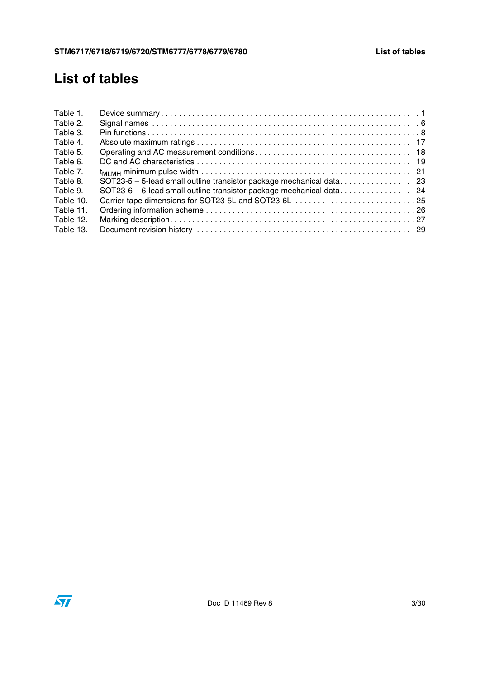# **List of tables**

| SOT23-5 - 5-lead small outline transistor package mechanical data23<br>SOT23-6 - 6-lead small outline transistor package mechanical data24 |
|--------------------------------------------------------------------------------------------------------------------------------------------|

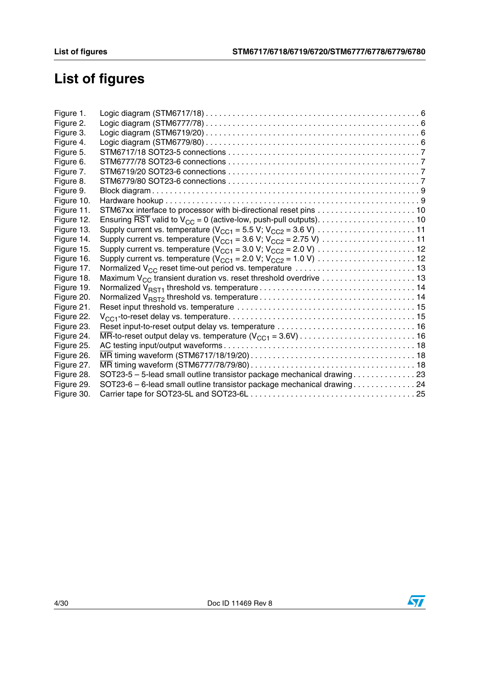# **List of figures**

| Figure 1.  |                                                                         |  |
|------------|-------------------------------------------------------------------------|--|
| Figure 2.  |                                                                         |  |
| Figure 3.  |                                                                         |  |
| Figure 4.  |                                                                         |  |
| Figure 5.  |                                                                         |  |
| Figure 6.  |                                                                         |  |
| Figure 7.  |                                                                         |  |
| Figure 8.  |                                                                         |  |
| Figure 9.  |                                                                         |  |
| Figure 10. |                                                                         |  |
| Figure 11. |                                                                         |  |
| Figure 12. |                                                                         |  |
| Figure 13. |                                                                         |  |
| Figure 14. |                                                                         |  |
| Figure 15. |                                                                         |  |
| Figure 16. |                                                                         |  |
| Figure 17. |                                                                         |  |
| Figure 18. |                                                                         |  |
| Figure 19. |                                                                         |  |
| Figure 20. |                                                                         |  |
| Figure 21. |                                                                         |  |
| Figure 22. |                                                                         |  |
| Figure 23. |                                                                         |  |
| Figure 24. |                                                                         |  |
| Figure 25. |                                                                         |  |
| Figure 26. |                                                                         |  |
| Figure 27. |                                                                         |  |
| Figure 28. | SOT23-5 - 5-lead small outline transistor package mechanical drawing 23 |  |
| Figure 29. | SOT23-6 - 6-lead small outline transistor package mechanical drawing 24 |  |
| Figure 30. |                                                                         |  |
|            |                                                                         |  |

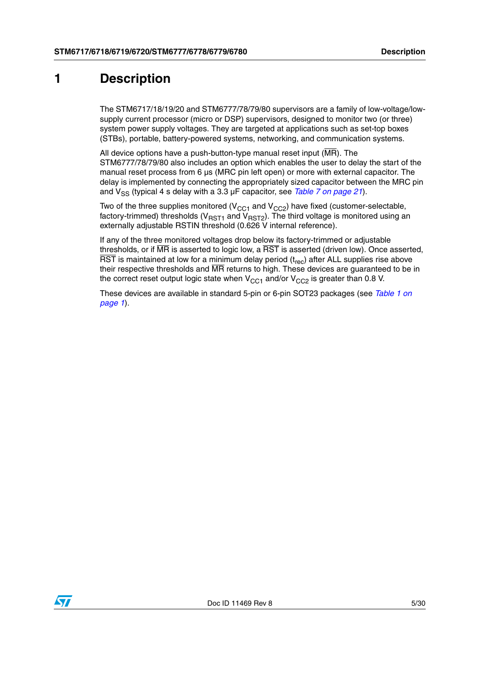## <span id="page-4-0"></span>**1 Description**

The STM6717/18/19/20 and STM6777/78/79/80 supervisors are a family of low-voltage/lowsupply current processor (micro or DSP) supervisors, designed to monitor two (or three) system power supply voltages. They are targeted at applications such as set-top boxes (STBs), portable, battery-powered systems, networking, and communication systems.

All device options have a push-button-type manual reset input  $(\overline{MR})$ . The STM6777/78/79/80 also includes an option which enables the user to delay the start of the manual reset process from  $6 \mu s$  (MRC pin left open) or more with external capacitor. The delay is implemented by connecting the appropriately sized capacitor between the MRC pin and  $V_{\rm sc}$  (typical 4 s delay with a 3.3  $\mu$ F capacitor, see *[Table 7 on page 21](#page-20-0)*).

Two of the three supplies monitored ( $V<sub>CC1</sub>$  and  $V<sub>CC2</sub>$ ) have fixed (customer-selectable, factory-trimmed) thresholds ( $V_{RST1}$  and  $V_{RST2}$ ). The third voltage is monitored using an externally adjustable RSTIN threshold (0.626 V internal reference).

If any of the three monitored voltages drop below its factory-trimmed or adjustable thresholds, or if MR is asserted to logic low, a RST is asserted (driven low). Once asserted,  $\overline{\text{RST}}$  is maintained at low for a minimum delay period ( $t_{\text{rec}}$ ) after ALL supplies rise above their respective thresholds and MR returns to high. These devices are guaranteed to be in the correct reset output logic state when  $V_{CC1}$  and/or  $V_{CC2}$  is greater than 0.8 V.

These devices are available in standard 5-pin or 6-pin SOT23 packages (see *[Table 1 on](#page-0-1)  [page 1](#page-0-1)*).

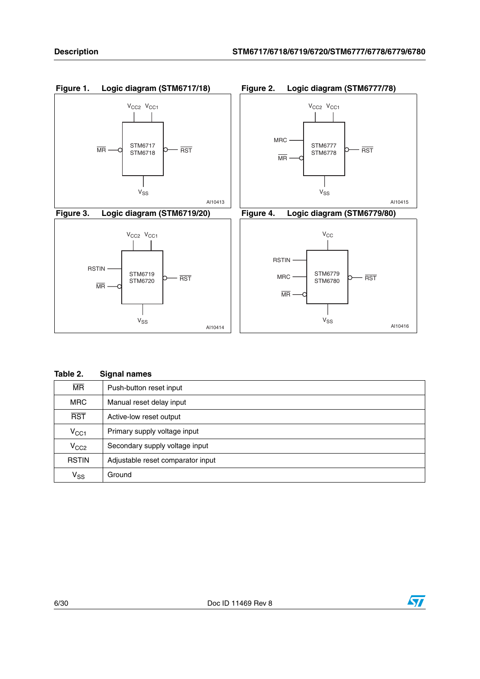<span id="page-5-4"></span><span id="page-5-3"></span><span id="page-5-2"></span><span id="page-5-1"></span>

<span id="page-5-0"></span>

| Table 2.                 | <b>Signal names</b>               |
|--------------------------|-----------------------------------|
| $\overline{\mathsf{MR}}$ | Push-button reset input           |
| <b>MRC</b>               | Manual reset delay input          |
| <b>RST</b>               | Active-low reset output           |
| $V_{\rm CC1}$            | Primary supply voltage input      |
| V <sub>CC2</sub>         | Secondary supply voltage input    |
| <b>RSTIN</b>             | Adjustable reset comparator input |
| $V_{SS}$                 | Ground                            |

#### 6/30 Doc ID 11469 Rev 8

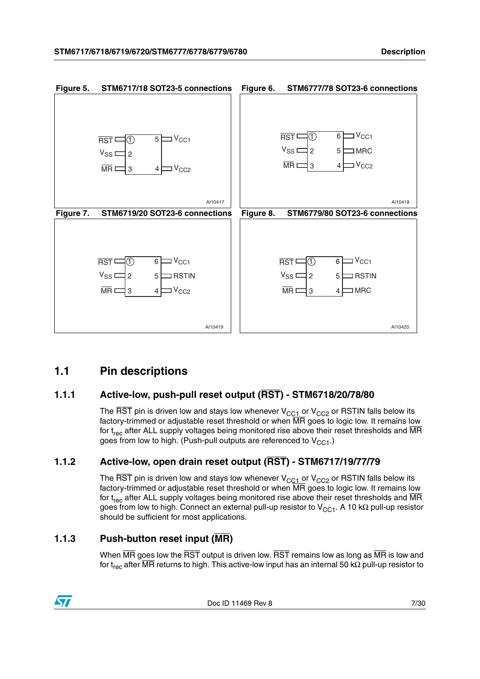<span id="page-6-6"></span><span id="page-6-5"></span><span id="page-6-4"></span>

### <span id="page-6-7"></span><span id="page-6-0"></span>**1.1 Pin descriptions**

### <span id="page-6-1"></span>**1.1.1 Active-low, push-pull reset output (RST) - STM6718/20/78/80**

The  $\overline{\text{RST}}$  pin is driven low and stays low whenever  $V_{CC1}$  or  $V_{CC2}$  or RSTIN falls below its factory-trimmed or adjustable reset threshold or when MR goes to logic low. It remains low for  $t_{rec}$  after ALL supply voltages being monitored rise above their reset thresholds and  $\overline{MR}$ goes from low to high. (Push-pull outputs are referenced to  $V_{C}$ <sub>C1</sub>.)

### <span id="page-6-2"></span>**1.1.2 Active-low, open drain reset output (RST) - STM6717/19/77/79**

The  $\overline{\text{RST}}$  pin is driven low and stays low whenever  $\text{V}_{\text{CC1}}$  or  $\text{V}_{\text{CC2}}$  or RSTIN falls below its factory-trimmed or adjustable reset threshold or when MR goes to logic low. It remains low for  $t_{rec}$  after ALL supply voltages being monitored rise above their reset thresholds and  $\overline{MR}$ goes from low to high. Connect an external pull-up resistor to  $V_{CC1}$ . A 10 kΩ pull-up resistor should be sufficient for most applications.

### <span id="page-6-3"></span>**1.1.3 Push-button reset input (MR)**

When  $\overline{MR}$  goes low the  $\overline{RST}$  output is driven low.  $\overline{RST}$  remains low as long as  $\overline{MR}$  is low and for t<sub>rec</sub> after MR returns to high. This active-low input has an internal 50 kΩ pull-up resistor to

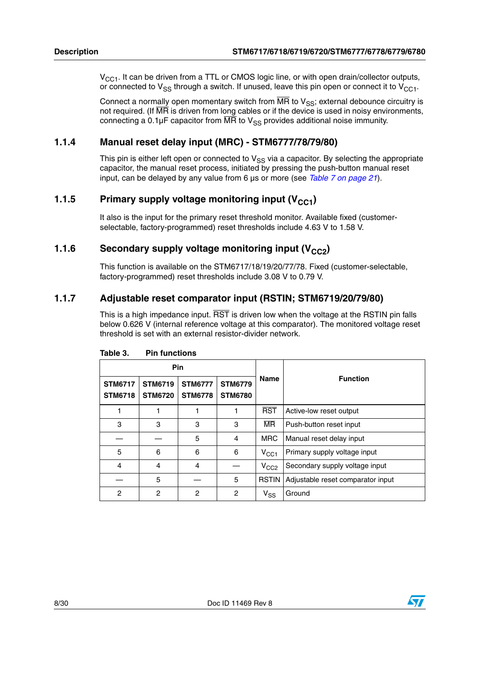$V_{CC1}$ . It can be driven from a TTL or CMOS logic line, or with open drain/collector outputs, or connected to  $V_{SS}$  through a switch. If unused, leave this pin open or connect it to  $V_{C}C_1$ .

Connect a normally open momentary switch from  $\overline{MR}$  to  $V_{SS}$ ; external debounce circuitry is not required. (If  $\overline{\text{MR}}$  is driven from long cables or if the device is used in noisy environments, connecting a 0.1 $\mu$ F capacitor from  $\overline{MR}$  to  $V_{SS}$  provides additional noise immunity.

### <span id="page-7-0"></span>**1.1.4 Manual reset delay input (MRC) - STM6777/78/79/80)**

This pin is either left open or connected to  $V_{SS}$  via a capacitor. By selecting the appropriate capacitor, the manual reset process, initiated by pressing the push-button manual reset input, can be delayed by any value from 6 µs or more (see *[Table 7 on page 21](#page-20-0)*).

### <span id="page-7-1"></span>**1.1.5** Primary supply voltage monitoring input (V<sub>CC1</sub>)

It also is the input for the primary reset threshold monitor. Available fixed (customerselectable, factory-programmed) reset thresholds include 4.63 V to 1.58 V.

### <span id="page-7-2"></span>**1.1.6** Secondary supply voltage monitoring input (V<sub>CC2</sub>)

This function is available on the STM6717/18/19/20/77/78. Fixed (customer-selectable, factory-programmed) reset thresholds include 3.08 V to 0.79 V.

### <span id="page-7-3"></span>**1.1.7 Adjustable reset comparator input (RSTIN; STM6719/20/79/80)**

This is a high impedance input.  $\overline{RST}$  is driven low when the voltage at the RSTIN pin falls below 0.626 V (internal reference voltage at this comparator). The monitored voltage reset threshold is set with an external resistor-divider network.

| <b>Pin</b>                       |                                  |                                  |                                  |                            |                                   |  |
|----------------------------------|----------------------------------|----------------------------------|----------------------------------|----------------------------|-----------------------------------|--|
| <b>STM6717</b><br><b>STM6718</b> | <b>STM6719</b><br><b>STM6720</b> | <b>STM6777</b><br><b>STM6778</b> | <b>STM6779</b><br><b>STM6780</b> | <b>Name</b>                | <b>Function</b>                   |  |
| 1                                |                                  |                                  |                                  | <b>RST</b>                 | Active-low reset output           |  |
| 3                                | 3                                | 3                                | 3                                | <b>MR</b>                  | Push-button reset input           |  |
|                                  |                                  | 5                                | 4                                | <b>MRC</b>                 | Manual reset delay input          |  |
| 5                                | 6                                | 6                                | 6                                | $V_{\rm CC1}$              | Primary supply voltage input      |  |
| 4                                | 4                                | 4                                |                                  | $V_{CC2}$                  | Secondary supply voltage input    |  |
|                                  | 5                                |                                  | 5                                | <b>RSTIN</b>               | Adjustable reset comparator input |  |
| 2                                | 2                                | 2                                | $\overline{c}$                   | $\mathsf{v}_{\mathsf{ss}}$ | Ground                            |  |

<span id="page-7-4"></span>Table 3. **Pin functions** 



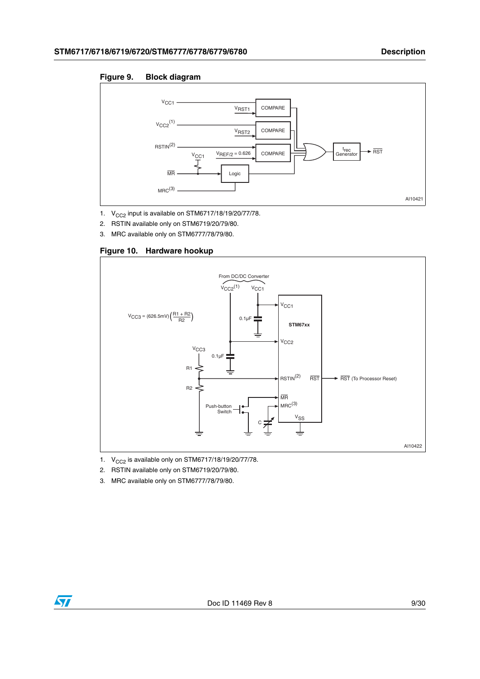<span id="page-8-0"></span>**Figure 9. Block diagram**



- 1.  $V_{CC2}$  input is available on STM6717/18/19/20/77/78.
- 2. RSTIN available only on STM6719/20/79/80.
- 3. MRC available only on STM6777/78/79/80.

<span id="page-8-1"></span>



1.  $V_{CC2}$  is available only on STM6717/18/19/20/77/78.

- 2. RSTIN available only on STM6719/20/79/80.
- 3. MRC available only on STM6777/78/79/80.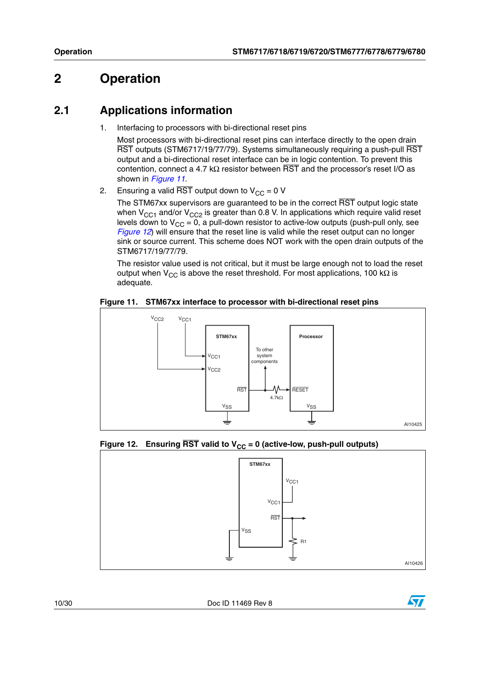## <span id="page-9-0"></span>**2 Operation**

### <span id="page-9-1"></span>**2.1 Applications information**

1. Interfacing to processors with bi-directional reset pins

Most processors with bi-directional reset pins can interface directly to the open drain RST outputs (STM6717/19/77/79). Systems simultaneously requiring a push-pull RST output and a bi-directional reset interface can be in logic contention. To prevent this contention, connect a 4.7 kΩ resistor between  $\overline{\text{RST}}$  and the processor's reset I/O as shown in *[Figure 11](#page-9-2)*.

2. Ensuring a valid  $\overline{\text{RST}}$  output down to  $V_{CC} = 0$  V

The STM67xx supervisors are guaranteed to be in the correct RST output logic state when  $V_{CC1}$  and/or  $V_{CC2}$  is greater than 0.8 V. In applications which require valid reset levels down to  $V_{CC} = 0$ , a pull-down resistor to active-low outputs (push-pull only, see *[Figure 12](#page-9-3)*) will ensure that the reset line is valid while the reset output can no longer sink or source current. This scheme does NOT work with the open drain outputs of the STM6717/19/77/79.

The resistor value used is not critical, but it must be large enough not to load the reset output when V<sub>CC</sub> is above the reset threshold. For most applications, 100 kΩ is adequate.

<span id="page-9-2"></span>



### <span id="page-9-3"></span>Figure 12. Ensuring  $\overline{\text{RST}}$  valid to  $V_{CC} = 0$  (active-low, push-pull outputs)



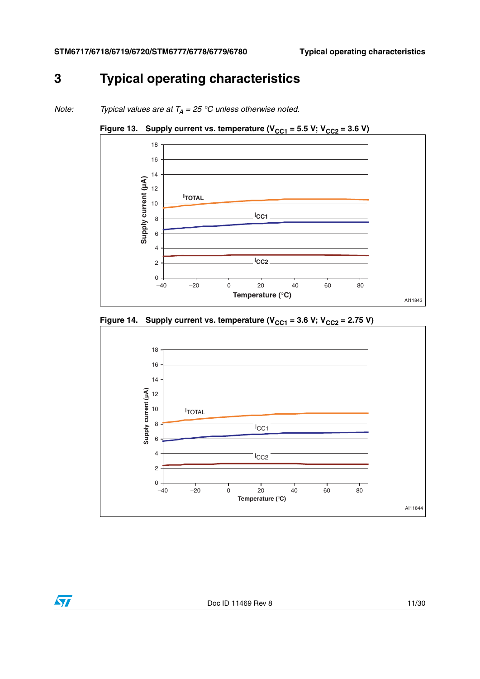# <span id="page-10-0"></span>**3 Typical operating characteristics**

*Note: Typical values are at*  $T_A = 25 °C$  *unless otherwise noted.* 

<span id="page-10-1"></span>



<span id="page-10-2"></span>

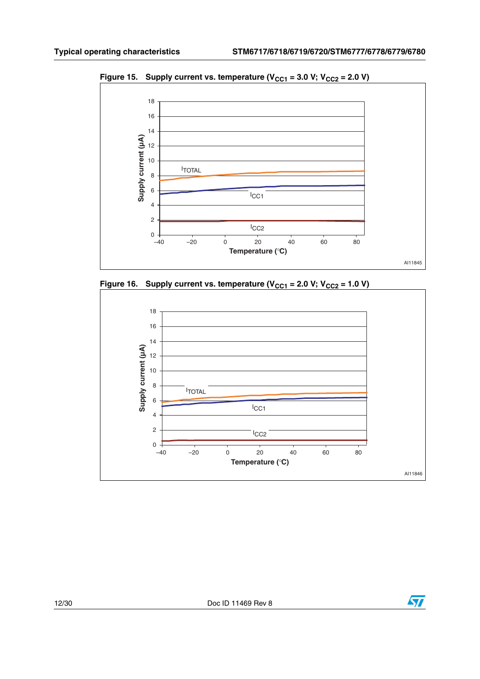

<span id="page-11-0"></span>Figure 15. Supply current vs. temperature ( $V_{CC1}$  = 3.0 V;  $V_{CC2}$  = 2.0 V)

<span id="page-11-1"></span>



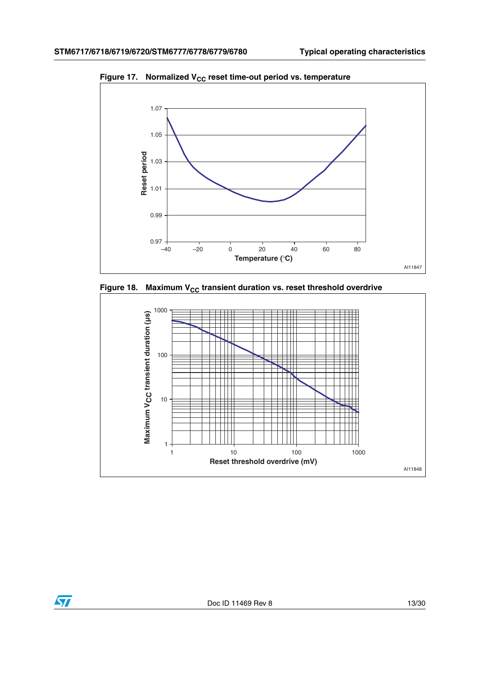

<span id="page-12-0"></span>Figure 17. Normalized V<sub>CC</sub> reset time-out period vs. temperature

<span id="page-12-1"></span>



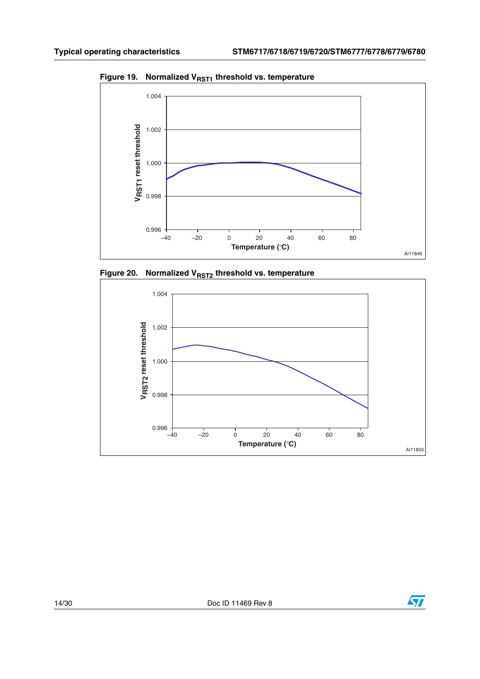

<span id="page-13-0"></span>Figure 19. Normalized V<sub>RST1</sub> threshold vs. temperature

<span id="page-13-1"></span>



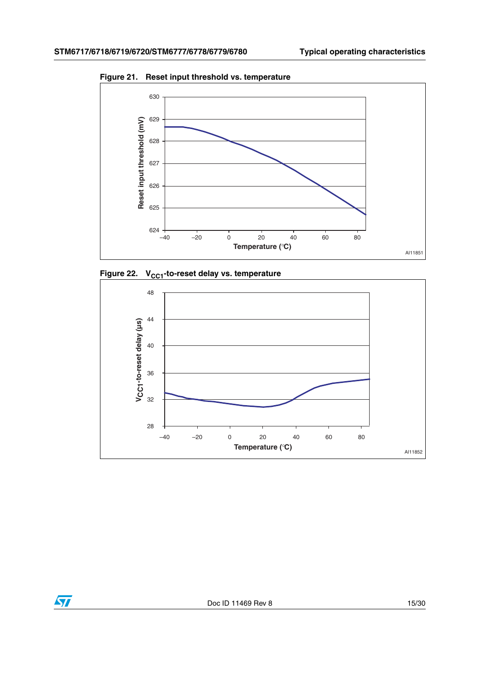

<span id="page-14-0"></span>**Figure 21. Reset input threshold vs. temperature**

<span id="page-14-1"></span>



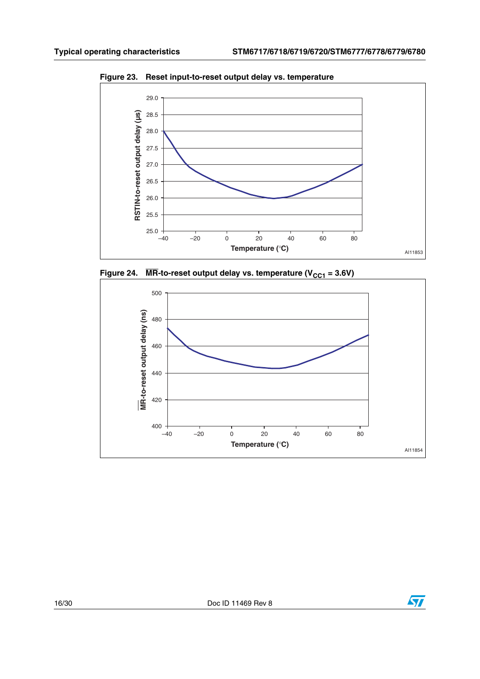

<span id="page-15-0"></span>**Figure 23. Reset input-to-reset output delay vs. temperature**

<span id="page-15-1"></span>



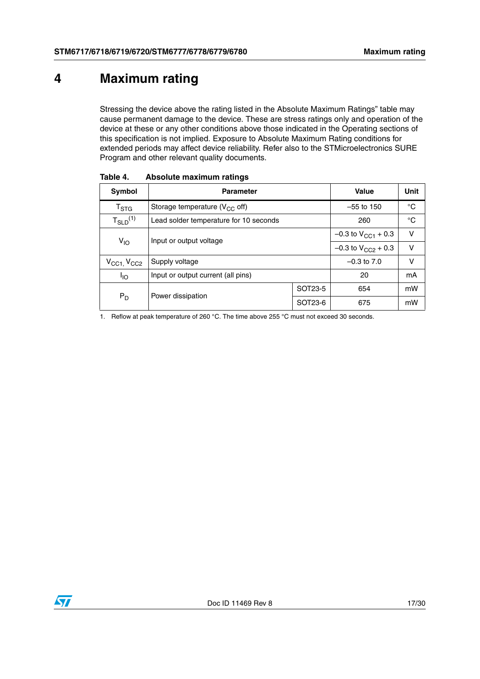## <span id="page-16-0"></span>**4 Maximum rating**

Stressing the device above the rating listed in the Absolute Maximum Ratings" table may cause permanent damage to the device. These are stress ratings only and operation of the device at these or any other conditions above those indicated in the Operating sections of this specification is not implied. Exposure to Absolute Maximum Rating conditions for extended periods may affect device reliability. Refer also to the STMicroelectronics SURE Program and other relevant quality documents.

| Symbol                              | <b>Parameter</b>                       | Value                     | Unit                      |        |
|-------------------------------------|----------------------------------------|---------------------------|---------------------------|--------|
| $\mathsf{T}_{\text{STG}}$           | Storage temperature ( $V_{CC}$ off)    | $-55$ to 150              | °C                        |        |
| $T_{SLD}^{(1)}$                     | Lead solder temperature for 10 seconds | 260                       | $^{\circ}C$               |        |
| $V_{IO}$                            | Input or output voltage                |                           | $-0.3$ to $V_{CG1}$ + 0.3 | $\vee$ |
|                                     |                                        | $-0.3$ to $V_{CC2}$ + 0.3 | $\vee$                    |        |
| $V_{\text{CC1}}$ , $V_{\text{CC2}}$ | Supply voltage                         |                           | $-0.3$ to $7.0$           | v      |
| <sup>I</sup> IO                     | Input or output current (all pins)     | 20                        | mA                        |        |
| $P_D$                               | Power dissipation                      | SOT23-5                   | 654                       | mW     |
|                                     |                                        | SOT23-6                   | 675                       | mW     |

<span id="page-16-1"></span>Table 4. **Absolute maximum ratings** 

<span id="page-16-2"></span>1. Reflow at peak temperature of 260 °C. The time above 255 °C must not exceed 30 seconds.

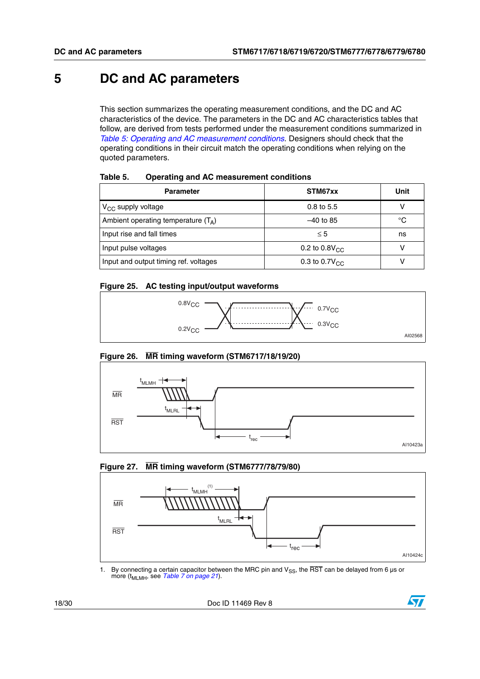### <span id="page-17-0"></span>**5 DC and AC parameters**

This section summarizes the operating measurement conditions, and the DC and AC characteristics of the device. The parameters in the DC and AC characteristics tables that follow, are derived from tests performed under the measurement conditions summarized in *[Table 5: Operating and AC measurement conditions](#page-17-1)*. Designers should check that the operating conditions in their circuit match the operating conditions when relying on the quoted parameters.

| <b>Parameter</b>                      | STM67xx                   | Unit |
|---------------------------------------|---------------------------|------|
| $V_{CC}$ supply voltage               | $0.8$ to 5.5              |      |
| Ambient operating temperature $(T_A)$ | $-40$ to 85               | °C   |
| Input rise and fall times             | $\leq 5$                  | ns   |
| Input pulse voltages                  | 0.2 to $0.8V_{CC}$        |      |
| Input and output timing ref. voltages | 0.3 to $0.7V_{\text{CC}}$ |      |

#### <span id="page-17-1"></span>Table 5. **Operating and AC measurement conditions**

#### <span id="page-17-2"></span>**Figure 25. AC testing input/output waveforms**



#### <span id="page-17-3"></span>**Figure 26. MR timing waveform (STM6717/18/19/20)**



#### <span id="page-17-4"></span>**Figure 27. MR timing waveform (STM6777/78/79/80)**



1. By connecting a certain capacitor between the MRC pin and  $V_{SS}$ , the  $\overline{RST}$  can be delayed from 6 µs or more (t<sub>MLMH</sub>, see *[Table 7 on page 21](#page-20-0)*).

18/30 Doc ID 11469 Rev 8

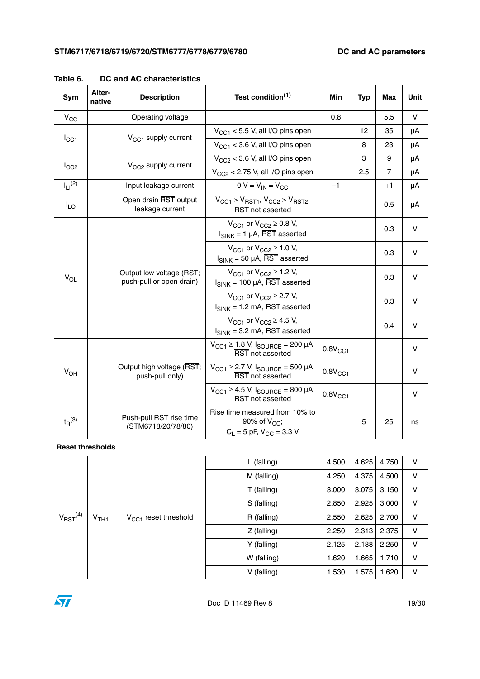| Sym                      | Alter-<br>native | <b>Description</b>                                   | Test condition <sup>(1)</sup>                                                                     | Min                 | <b>Typ</b> | Max            | Unit    |
|--------------------------|------------------|------------------------------------------------------|---------------------------------------------------------------------------------------------------|---------------------|------------|----------------|---------|
| $V_{CC}$                 |                  | Operating voltage                                    |                                                                                                   | 0.8                 |            | 5.5            | v       |
|                          |                  | $V_{CC1}$ supply current                             | $V_{CG1}$ < 5.5 V, all I/O pins open                                                              |                     | 12         | 35             | μA      |
| $I_{CC1}$                |                  |                                                      | $V_{CG1}$ < 3.6 V, all I/O pins open                                                              |                     | 8          | 23             | μA      |
|                          |                  | V <sub>CC2</sub> supply current                      | $V_{CC2}$ < 3.6 V, all I/O pins open                                                              |                     | 3          | 9              | μA      |
| $I_{CC2}$                |                  |                                                      | $V_{CC2}$ < 2.75 V, all I/O pins open                                                             |                     | 2.5        | $\overline{7}$ | μA      |
| $I_{LI}$ <sup>(2)</sup>  |                  | Input leakage current                                | $0 V = V_{IN} = V_{CC}$                                                                           | $-1$                |            | $+1$           | μA      |
| $I_{LO}$                 |                  | Open drain RST output<br>leakage current             | $V_{\text{CC}1}$ > $V_{\text{RST}1}$ , $V_{\text{CC}2}$ > $V_{\text{RST}2}$ ;<br>RST not asserted |                     |            | 0.5            | μA      |
|                          |                  |                                                      | $V_{CC1}$ or $V_{CC2} \ge 0.8$ V,<br>$I_{SINK}$ = 1 µA, $\overline{RST}$ asserted                 |                     |            | 0.3            | v       |
|                          |                  |                                                      | $V_{CC1}$ or $V_{CC2} \ge 1.0$ V,<br>$I_{SINK}$ = 50 µA, $\overline{RST}$ asserted                |                     |            | 0.3            | v       |
| $V_{OL}$                 |                  | Output low voltage (RST;<br>push-pull or open drain) | $V_{CC1}$ or $V_{CC2} \ge 1.2$ V,<br>$I_{SINK}$ = 100 µA, RST asserted                            |                     |            | 0.3            | v       |
|                          |                  |                                                      | $V_{CC1}$ or $V_{CC2} \ge 2.7$ V,<br>$I_{SINK}$ = 1.2 mA, $\overline{RST}$ asserted               |                     |            | 0.3            | v       |
|                          |                  |                                                      | $V_{CC1}$ or $V_{CC2} \ge 4.5$ V,<br>$I_{SINK}$ = 3.2 mA, $\overline{RST}$ asserted               |                     |            | 0.4            | v       |
|                          |                  |                                                      | $V_{CC1} \ge 1.8$ V, $I_{SOURCE} = 200$ µA,<br>RST not asserted                                   | 0.8V <sub>CC1</sub> |            |                | v       |
| $V_{OH}$                 |                  | Output high voltage (RST;<br>push-pull only)         | $V_{CC1} \ge 2.7$ V, $I_{SOLRCE} = 500$ µA,<br>RST not asserted                                   | 0.8V <sub>CC1</sub> |            |                | v       |
|                          |                  |                                                      | $V_{\text{CC1}} \geq 4.5 \text{ V}$ , $I_{\text{SOURCE}} = 800 \mu\text{A}$ ,<br>RST not asserted | 0.8V <sub>CC1</sub> |            |                | v       |
| $t_{\text{R}}^{(3)}$     |                  | Push-pull RST rise time<br>(STM6718/20/78/80)        | Rise time measured from 10% to<br>90% of $V_{CC}$ ;<br>$C_L = 5$ pF, $V_{CC} = 3.3$ V             |                     | 5          | 25             | ns      |
| <b>Reset thresholds</b>  |                  |                                                      |                                                                                                   |                     |            |                |         |
|                          |                  |                                                      | L (falling)                                                                                       | 4.500               | 4.625      | 4.750          | $\sf V$ |
|                          |                  |                                                      | M (falling)                                                                                       | 4.250               | 4.375      | 4.500          | V       |
|                          |                  |                                                      | T (falling)                                                                                       | 3.000               | 3.075      | 3.150          | V       |
|                          |                  |                                                      | S (falling)                                                                                       | 2.850               | 2.925      | 3.000          | $\sf V$ |
| $V_{RST}$ <sup>(4)</sup> | V <sub>TH1</sub> | V <sub>CC1</sub> reset threshold                     | R (falling)                                                                                       | 2.550               | 2.625      | 2.700          | V       |
|                          |                  |                                                      | Z (falling)                                                                                       | 2.250               | 2.313      | 2.375          | $\sf V$ |
|                          |                  |                                                      | Y (falling)                                                                                       | 2.125               | 2.188      | 2.250          | V       |
|                          |                  |                                                      | W (falling)                                                                                       | 1.620               | 1.665      | 1.710          | V       |
|                          |                  |                                                      | V (falling)                                                                                       | 1.530               | 1.575      | 1.620          | V       |

<span id="page-18-0"></span>**Table 6. DC and AC characteristics**

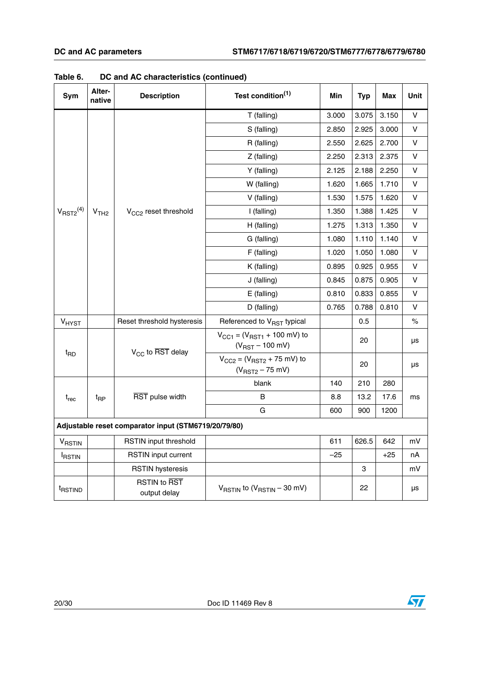| Sym                     | Alter-<br>native                                     | <b>Description</b>                  | Test condition <sup>(1)</sup>                                              | Min   | <b>Typ</b> | <b>Max</b> | Unit |  |
|-------------------------|------------------------------------------------------|-------------------------------------|----------------------------------------------------------------------------|-------|------------|------------|------|--|
|                         |                                                      |                                     | T (falling)                                                                | 3.000 | 3.075      | 3.150      | v    |  |
|                         |                                                      |                                     | S (falling)                                                                | 2.850 | 2.925      | 3.000      | V    |  |
|                         |                                                      |                                     | R (falling)                                                                | 2.550 | 2.625      | 2.700      | v    |  |
|                         |                                                      |                                     | Z (falling)                                                                | 2.250 | 2.313      | 2.375      | ٧    |  |
|                         |                                                      |                                     | Y (falling)                                                                | 2.125 | 2.188      | 2.250      | v    |  |
|                         |                                                      |                                     | W (falling)<br>1.620                                                       | 1.665 | 1.710      | v          |      |  |
|                         |                                                      |                                     | V (falling)                                                                | 1.530 | 1.575      | 1.620      | v    |  |
| $V_{\text{RST2}}^{(4)}$ | V <sub>TH2</sub>                                     | V <sub>CC2</sub> reset threshold    | I (falling)                                                                | 1.350 | 1.388      | 1.425      | v    |  |
|                         |                                                      |                                     | H (falling)                                                                | 1.275 | 1.313      | 1.350      | V    |  |
|                         |                                                      |                                     | G (falling)                                                                | 1.080 | 1.110      | 1.140      | v    |  |
|                         |                                                      |                                     | F (falling)                                                                | 1.020 | 1.050      | 1.080      | v    |  |
|                         |                                                      |                                     | K (falling)                                                                | 0.895 | 0.925      | 0.955      | v    |  |
|                         |                                                      |                                     | J (falling)                                                                | 0.845 | 0.875      | 0.905      | v    |  |
|                         |                                                      |                                     | E (falling)                                                                | 0.810 | 0.833      | 0.855      | V    |  |
|                         |                                                      |                                     | D (falling)                                                                | 0.765 | 0.788      | 0.810      | v    |  |
| V <sub>HYST</sub>       |                                                      | Reset threshold hysteresis          | Referenced to V <sub>RST</sub> typical                                     |       | 0.5        |            | $\%$ |  |
|                         |                                                      | $V_{CC}$ to RST delay               | $V_{CG1} = (V_{RST1} + 100 \text{ mV})$ to<br>$(V_{RST} - 100 \text{ mV})$ |       | 20         |            | μs   |  |
| $t_{\mathsf{RD}}$       |                                                      |                                     | $V_{CC2} = (V_{RST2} + 75 \text{ mV})$ to<br>$(V_{RST2} - 75$ mV)          |       | 20         |            | μs   |  |
|                         |                                                      |                                     | blank                                                                      | 140   | 210        | 280        |      |  |
| $t_{rec}$               | $t_{\text{RP}}$                                      | RST pulse width                     | В                                                                          | 8.8   | 13.2       | 17.6       | ms   |  |
|                         |                                                      |                                     | G                                                                          | 600   | 900        | 1200       |      |  |
|                         | Adjustable reset comparator input (STM6719/20/79/80) |                                     |                                                                            |       |            |            |      |  |
| V <sub>RSTIN</sub>      |                                                      | RSTIN input threshold               |                                                                            | 611   | 626.5      | 642        | mV   |  |
| <b>IRSTIN</b>           |                                                      | <b>RSTIN</b> input current          |                                                                            | $-25$ |            | $+25$      | nA   |  |
|                         |                                                      | <b>RSTIN</b> hysteresis             |                                                                            |       | 3          |            | mV   |  |
| t <sub>RSTIND</sub>     |                                                      | <b>RSTIN to RST</b><br>output delay | $V_{RSTIN}$ to $(V_{RSTIN} - 30$ mV)                                       |       | 22         |            | μs   |  |

**Table 6. DC and AC characteristics (continued)**



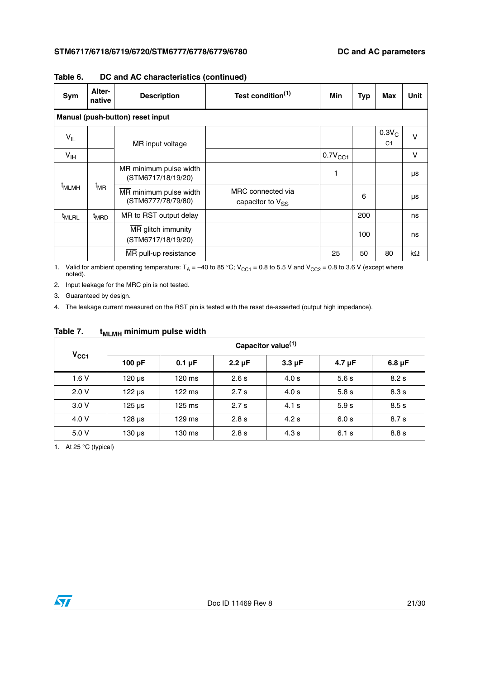| Sym               | Alter-<br>native                 | <b>Description</b>                                           | Test condition <sup>(1)</sup> | Min                 | <b>Typ</b> | Max                        | <b>Unit</b> |  |  |  |                                              |                                            |  |   |  |
|-------------------|----------------------------------|--------------------------------------------------------------|-------------------------------|---------------------|------------|----------------------------|-------------|--|--|--|----------------------------------------------|--------------------------------------------|--|---|--|
|                   | Manual (push-button) reset input |                                                              |                               |                     |            |                            |             |  |  |  |                                              |                                            |  |   |  |
| $V_{IL}$          |                                  | MR input voltage                                             |                               |                     |            | $0.3V_C$<br>C <sub>1</sub> | $\vee$      |  |  |  |                                              |                                            |  |   |  |
| $V_{\text{IH}}$   |                                  |                                                              |                               | 0.7V <sub>CC1</sub> |            |                            | $\vee$      |  |  |  |                                              |                                            |  |   |  |
|                   | $t_{MR}$                         | MR minimum pulse width<br>(STM6717/18/19/20)                 |                               | 1                   |            |                            | μs          |  |  |  |                                              |                                            |  |   |  |
| <sup>t</sup> MLMH |                                  |                                                              |                               |                     |            |                            |             |  |  |  | MR minimum pulse width<br>(STM6777/78/79/80) | MRC connected via<br>capacitor to $V_{SS}$ |  | 6 |  |
| <sup>t</sup> MLRL | <sup>t</sup> MRD                 | MR to RST output delay                                       |                               |                     | 200        |                            | ns          |  |  |  |                                              |                                            |  |   |  |
|                   |                                  | $\overline{\text{MR}}$ glitch immunity<br>(STM6717/18/19/20) |                               |                     | 100        |                            | ns          |  |  |  |                                              |                                            |  |   |  |
|                   |                                  | MR pull-up resistance                                        |                               | 25                  | 50         | 80                         | kΩ          |  |  |  |                                              |                                            |  |   |  |

#### **Table 6. DC and AC characteristics (continued)**

1. Valid for ambient operating temperature:  $T_A = -40$  to 85 °C;  $V_{CC1} = 0.8$  to 5.5 V and  $V_{CC2} = 0.8$  to 3.6 V (except where noted).

2. Input leakage for the MRC pin is not tested.

3. Guaranteed by design.

4. The leakage current measured on the  $\overline{\text{RST}}$  pin is tested with the reset de-asserted (output high impedance).

### <span id="page-20-0"></span>Table 7. t<sub>MLMH</sub> minimum pulse width

| $V_{CC1}$ | Capacitor value <sup>(1)</sup> |             |                  |             |             |             |  |  |
|-----------|--------------------------------|-------------|------------------|-------------|-------------|-------------|--|--|
|           | 100 pF                         | $0.1 \mu F$ | $2.2 \mu F$      | $3.3 \mu F$ | $4.7 \mu F$ | $6.8 \mu F$ |  |  |
| 1.6V      | $120 \mu s$                    | 120 ms      | 2.6 s            | 4.0 s       | 5.6s        | 8.2 s       |  |  |
| 2.0V      | $122 \mu s$                    | 122 ms      | 2.7 <sub>s</sub> | 4.0 s       | 5.8 s       | 8.3 s       |  |  |
| 3.0V      | $125 \mu s$                    | 125 ms      | 2.7 <sub>s</sub> | 4.1 s       | 5.9 s       | 8.5s        |  |  |
| 4.0 V     | $128 \mu s$                    | 129 ms      | 2.8 s            | 4.2 s       | 6.0 s       | 8.7s        |  |  |
| 5.0 V     | $130 \mu s$                    | 130 ms      | 2.8 s            | 4.3 s       | 6.1 s       | 8.8 s       |  |  |

1. At 25 °C (typical)

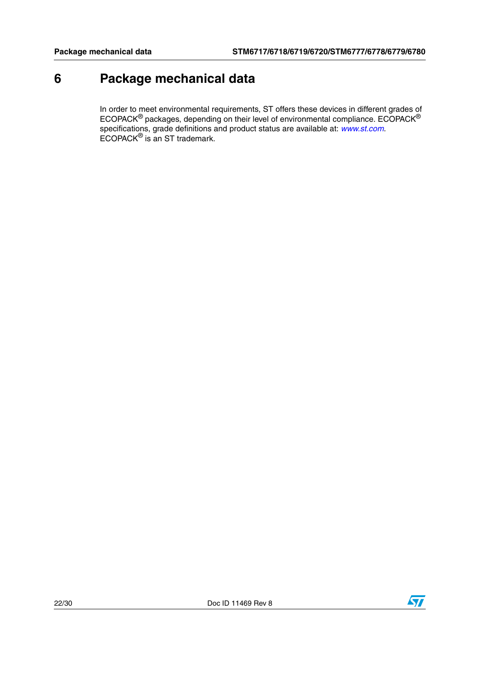# <span id="page-21-0"></span>**6 Package mechanical data**

In order to meet environmental requirements, ST offers these devices in different grades of ECOPACK $^{\circledR}$  packages, depending on their level of environmental compliance. ECOPACK $^{\circledR}$ specifications, grade definitions and product status are available at: *[www.st.com](http://www.st.com)*. ECOPACK® is an ST trademark.

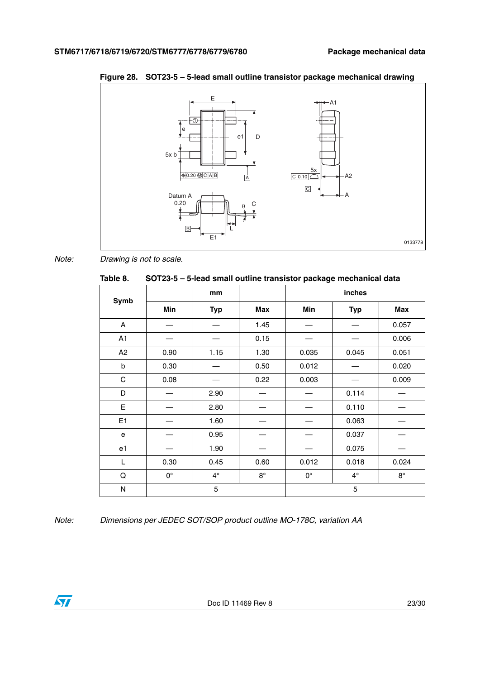

<span id="page-22-1"></span>**Figure 28. SOT23-5 – 5-lead small outline transistor package mechanical drawing**

*Note: Drawing is not to scale.*

<span id="page-22-0"></span>

| Table 8. | SOT23-5 - 5-lead small outline transistor package mechanical data |
|----------|-------------------------------------------------------------------|
|----------|-------------------------------------------------------------------|

|              |             | mm          |             |             | inches      |             |
|--------------|-------------|-------------|-------------|-------------|-------------|-------------|
| Symb         | Min         | <b>Typ</b>  | Max         | Min         | <b>Typ</b>  | <b>Max</b>  |
| A            |             |             | 1.45        |             |             | 0.057       |
| A1           |             |             | 0.15        |             |             | 0.006       |
| A2           | 0.90        | 1.15        | 1.30        | 0.035       | 0.045       | 0.051       |
| b            | 0.30        |             | 0.50        | 0.012       |             | 0.020       |
| $\mathsf{C}$ | 0.08        |             | 0.22        | 0.003       |             | 0.009       |
| D            |             | 2.90        |             |             | 0.114       |             |
| E            |             | 2.80        |             |             | 0.110       |             |
| E1           |             | 1.60        |             |             | 0.063       |             |
| e            |             | 0.95        |             |             | 0.037       |             |
| e1           |             | 1.90        |             |             | 0.075       |             |
| L            | 0.30        | 0.45        | 0.60        | 0.012       | 0.018       | 0.024       |
| Q            | $0^{\circ}$ | $4^{\circ}$ | $8^{\circ}$ | $0^{\circ}$ | $4^{\circ}$ | $8^{\circ}$ |
| $\mathsf{N}$ |             | 5           |             |             | 5           |             |

*Note: Dimensions per JEDEC SOT/SOP product outline MO-178C, variation AA*

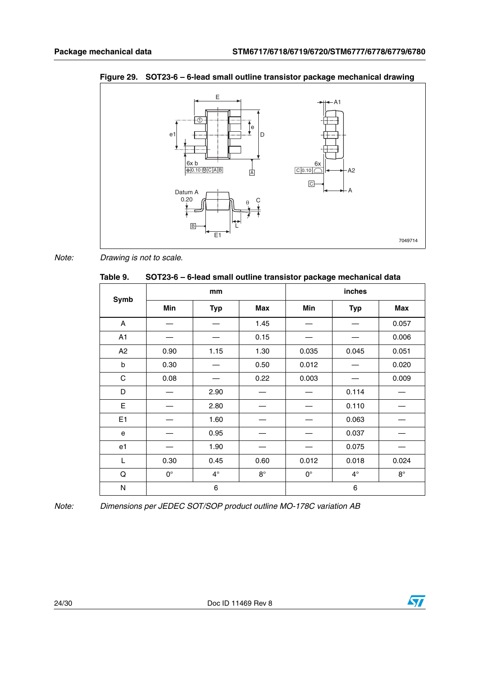

<span id="page-23-1"></span>**Figure 29. SOT23-6 – 6-lead small outline transistor package mechanical drawing**

*Note: Drawing is not to scale.*

<span id="page-23-0"></span>

| - . - <del>.</del> .<br>.<br>Table 9. | SOT23-6 - 6-lead small outline transistor package mechanical data |            |             |             |            |             |  |
|---------------------------------------|-------------------------------------------------------------------|------------|-------------|-------------|------------|-------------|--|
|                                       |                                                                   | mm         |             | inches      |            |             |  |
| Symb                                  | Min                                                               | <b>Typ</b> | Max         | Min         | <b>Typ</b> | Max         |  |
| A                                     |                                                                   |            | 1.45        |             |            | 0.057       |  |
| A1                                    |                                                                   |            | 0.15        |             |            | 0.006       |  |
| A2                                    | 0.90                                                              | 1.15       | 1.30        | 0.035       | 0.045      | 0.051       |  |
| b                                     | 0.30                                                              |            | 0.50        | 0.012       |            | 0.020       |  |
| $\mathbf C$                           | 0.08                                                              |            | 0.22        | 0.003       |            | 0.009       |  |
| D                                     |                                                                   | 2.90       |             |             | 0.114      |             |  |
| E                                     |                                                                   | 2.80       |             |             | 0.110      |             |  |
| E1                                    |                                                                   | 1.60       |             |             | 0.063      |             |  |
| e                                     |                                                                   | 0.95       |             |             | 0.037      |             |  |
| e1                                    |                                                                   | 1.90       |             |             | 0.075      |             |  |
| L                                     | 0.30                                                              | 0.45       | 0.60        | 0.012       | 0.018      | 0.024       |  |
| Q                                     | $0^{\circ}$                                                       | $4^\circ$  | $8^{\circ}$ | $0^{\circ}$ | $4^\circ$  | $8^{\circ}$ |  |
| N                                     |                                                                   | 6          |             |             | 6          |             |  |

*Note: Dimensions per JEDEC SOT/SOP product outline MO-178C variation AB*

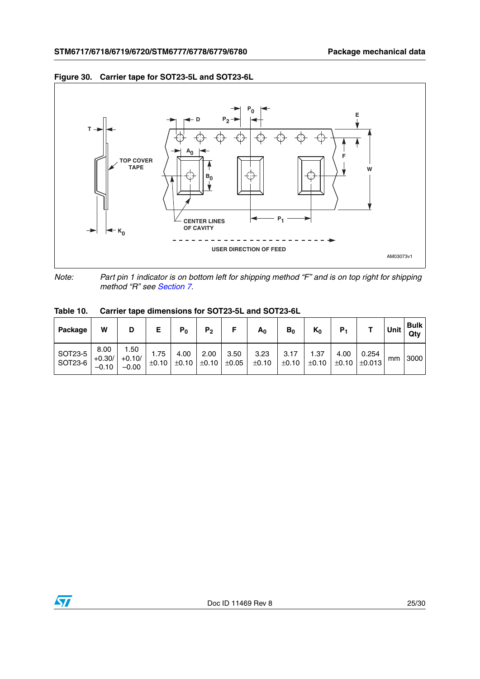

#### <span id="page-24-1"></span>**Figure 30. Carrier tape for SOT23-5L and SOT23-6L**

*Note: Part pin 1 indicator is on bottom left for shipping method "F" and is on top right for shipping method "R" see [Section 7](#page-25-0).*

| Package            | W                           | D                           |               | $P_0$         | P <sub>2</sub> | F             | A <sub>0</sub> | $B_0$         | $K_0$         | Р.            |                      | Unit | <b>Bulk</b><br>Qty |
|--------------------|-----------------------------|-----------------------------|---------------|---------------|----------------|---------------|----------------|---------------|---------------|---------------|----------------------|------|--------------------|
| SOT23-5<br>SOT23-6 | 8.00<br>$+0.30/$<br>$-0.10$ | 1.50<br>$+0.10/$<br>$-0.00$ | 1.75<br>±0.10 | 4.00<br>±0.10 | 2.00<br>±0.10  | 3.50<br>±0.05 | 3.23<br>±0.10  | 3.17<br>±0.10 | 1.37<br>±0.10 | 4.00<br>±0.10 | 0.254<br>$\pm 0.013$ | mm   | 3000               |

<span id="page-24-0"></span>**Table 10. Carrier tape dimensions for SOT23-5L and SOT23-6L**

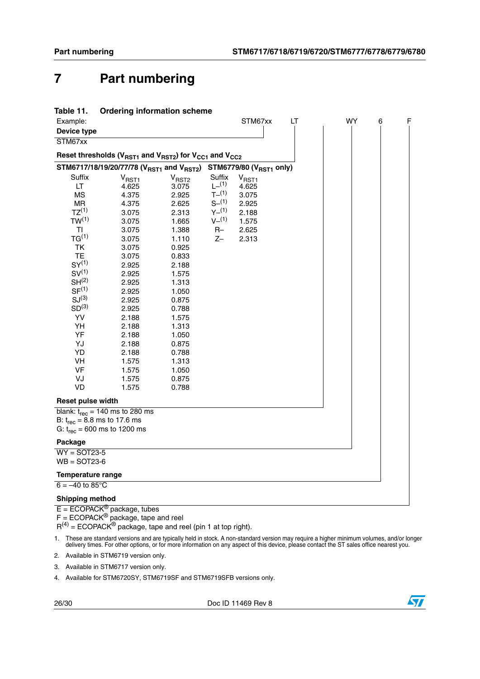# <span id="page-25-0"></span>**7 Part numbering**

<span id="page-25-1"></span>

| Table 11. | <b>Ordering information scheme</b> |  |
|-----------|------------------------------------|--|
|           |                                    |  |

| Example:                                                                                              |                   |                   |                  | STM67xx           | LT | WY | 6 | F |
|-------------------------------------------------------------------------------------------------------|-------------------|-------------------|------------------|-------------------|----|----|---|---|
| Device type                                                                                           |                   |                   |                  |                   |    |    |   |   |
| STM67xx                                                                                               |                   |                   |                  |                   |    |    |   |   |
| Reset thresholds ( $V_{RST1}$ and $V_{RST2}$ ) for $V_{CC1}$ and $V_{CC2}$                            |                   |                   |                  |                   |    |    |   |   |
| STM6717/18/19/20/77/78 (V <sub>RST1</sub> and V <sub>RST2</sub> ) STM6779/80 (V <sub>RST1</sub> only) |                   |                   |                  |                   |    |    |   |   |
| Suffix                                                                                                | V <sub>RST1</sub> | V <sub>RST2</sub> | Suffix           | V <sub>RST1</sub> |    |    |   |   |
| LT.                                                                                                   | 4.625             | 3.075             | $L^{-(1)}$       | 4.625             |    |    |   |   |
| <b>MS</b>                                                                                             | 4.375             | 2.925             | $T^{-}(1)$       | 3.075             |    |    |   |   |
| <b>MR</b>                                                                                             | 4.375             | 2.625             | S <sup>(1)</sup> | 2.925             |    |    |   |   |
| TZ <sup>(1)</sup>                                                                                     | 3.075             | 2.313             | $Y_{-}^{(1)}$    | 2.188             |    |    |   |   |
| TW <sup>(1)</sup>                                                                                     | 3.075             | 1.665             | $V^{(1)}$        | 1.575             |    |    |   |   |
| TI                                                                                                    | 3.075             | 1.388             | $R-$             | 2.625             |    |    |   |   |
| TG <sup>(1)</sup>                                                                                     | 3.075             | 1.110             | $Z-$             | 2.313             |    |    |   |   |
| TK                                                                                                    | 3.075             | 0.925             |                  |                   |    |    |   |   |
| <b>TE</b>                                                                                             | 3.075             | 0.833             |                  |                   |    |    |   |   |
| SY <sup>(1)</sup>                                                                                     | 2.925             | 2.188             |                  |                   |    |    |   |   |
| SV <sup>(1)</sup>                                                                                     | 2.925             | 1.575             |                  |                   |    |    |   |   |
| SH <sup>(2)</sup>                                                                                     | 2.925             | 1.313             |                  |                   |    |    |   |   |
| SF <sup>(1)</sup>                                                                                     | 2.925             | 1.050             |                  |                   |    |    |   |   |
| SJ <sup>(3)</sup>                                                                                     | 2.925             | 0.875             |                  |                   |    |    |   |   |
| SD <sup>(3)</sup>                                                                                     | 2.925             | 0.788             |                  |                   |    |    |   |   |
| YV                                                                                                    | 2.188             | 1.575             |                  |                   |    |    |   |   |
| YH                                                                                                    | 2.188             | 1.313             |                  |                   |    |    |   |   |
| YF                                                                                                    | 2.188             | 1.050             |                  |                   |    |    |   |   |
| YJ                                                                                                    | 2.188             | 0.875             |                  |                   |    |    |   |   |
| <b>YD</b>                                                                                             | 2.188             | 0.788             |                  |                   |    |    |   |   |
| VH                                                                                                    | 1.575             | 1.313             |                  |                   |    |    |   |   |
| <b>VF</b>                                                                                             | 1.575             | 1.050             |                  |                   |    |    |   |   |
| VJ                                                                                                    | 1.575             | 0.875             |                  |                   |    |    |   |   |
| VD                                                                                                    | 1.575             | 0.788             |                  |                   |    |    |   |   |
| Reset pulse width                                                                                     |                   |                   |                  |                   |    |    |   |   |
| blank: $t_{rec}$ = 140 ms to 280 ms                                                                   |                   |                   |                  |                   |    |    |   |   |
| B: $t_{rec}$ = 8.8 ms to 17.6 ms                                                                      |                   |                   |                  |                   |    |    |   |   |
| G: $t_{rec}$ = 600 ms to 1200 ms                                                                      |                   |                   |                  |                   |    |    |   |   |
| Package                                                                                               |                   |                   |                  |                   |    |    |   |   |
| $WY =$ SOT23-5                                                                                        |                   |                   |                  |                   |    |    |   |   |
| $WB =$ SOT23-6                                                                                        |                   |                   |                  |                   |    |    |   |   |
| Temperature range                                                                                     |                   |                   |                  |                   |    |    |   |   |
| $6 = -40$ to $85^{\circ}$ C                                                                           |                   |                   |                  |                   |    |    |   |   |
| <b>Shipping method</b>                                                                                |                   |                   |                  |                   |    |    |   |   |

 $E = ECOPACK^{\circledR}$  package, tubes

 $F = ECOPACK^{\circledR}$  package, tape and reel

 $R^{(4)}$  = ECOPACK<sup>®</sup> package, tape and reel (pin 1 at top right).

1. These are standard versions and are typically held in stock. A non-standard version may require a higher minimum volumes, and/or longer<br>delivery times. For other options, or for more information on any aspect of this de

2. Available in STM6719 version only.

3. Available in STM6717 version only.

<span id="page-25-2"></span>4. Available for STM6720SY, STM6719SF and STM6719SFB versions only.

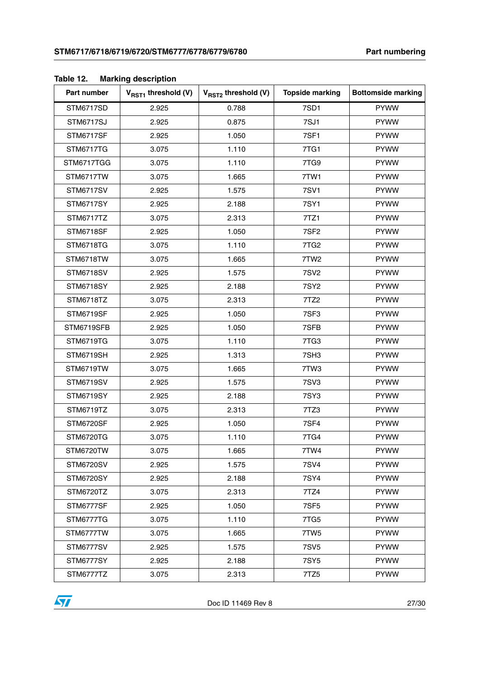| Part number      | V <sub>RST1</sub> threshold (V) | $V_{RST2}$ threshold (V) | <b>Topside marking</b> | <b>Bottomside marking</b> |
|------------------|---------------------------------|--------------------------|------------------------|---------------------------|
| STM6717SD        | 2.925                           | 0.788                    | 7SD1                   | <b>PYWW</b>               |
| <b>STM6717SJ</b> | 2.925                           | 0.875                    | 7SJ1                   | <b>PYWW</b>               |
| STM6717SF        | 2.925                           | 1.050                    | <b>7SF1</b>            | <b>PYWW</b>               |
| <b>STM6717TG</b> | 3.075                           | 1.110                    | 7TG1                   | <b>PYWW</b>               |
| STM6717TGG       | 3.075                           | 1.110                    | 7TG9                   | <b>PYWW</b>               |
| STM6717TW        | 3.075                           | 1.665                    | 7TW1                   | <b>PYWW</b>               |
| <b>STM6717SV</b> | 2.925                           | 1.575                    | <b>7SV1</b>            | <b>PYWW</b>               |
| <b>STM6717SY</b> | 2.925                           | 2.188                    | <b>7SY1</b>            | <b>PYWW</b>               |
| STM6717TZ        | 3.075                           | 2.313                    | 7TZ1                   | <b>PYWW</b>               |
| STM6718SF        | 2.925                           | 1.050                    | 7SF <sub>2</sub>       | <b>PYWW</b>               |
| STM6718TG        | 3.075                           | 1.110                    | 7TG <sub>2</sub>       | <b>PYWW</b>               |
| STM6718TW        | 3.075                           | 1.665                    | 7TW <sub>2</sub>       | <b>PYWW</b>               |
| <b>STM6718SV</b> | 2.925                           | 1.575                    | <b>7SV2</b>            | <b>PYWW</b>               |
| <b>STM6718SY</b> | 2.925                           | 2.188                    | <b>7SY2</b>            | <b>PYWW</b>               |
| STM6718TZ        | 3.075                           | 2.313                    | 7TZ2                   | <b>PYWW</b>               |
| STM6719SF        | 2.925                           | 1.050                    | 7SF3                   | <b>PYWW</b>               |
| STM6719SFB       | 2.925                           | 1.050                    | 7SFB                   | <b>PYWW</b>               |
| <b>STM6719TG</b> | 3.075                           | 1.110                    | 7TG3                   | <b>PYWW</b>               |
| STM6719SH        | 2.925                           | 1.313                    | 7SH3                   | <b>PYWW</b>               |
| STM6719TW        | 3.075                           | 1.665                    | 7TW3                   | <b>PYWW</b>               |
| <b>STM6719SV</b> | 2.925                           | 1.575                    | 7SV3                   | <b>PYWW</b>               |
| <b>STM6719SY</b> | 2.925                           | 2.188                    | <b>7SY3</b>            | <b>PYWW</b>               |
| STM6719TZ        | 3.075                           | 2.313                    | 7TZ3                   | <b>PYWW</b>               |
| STM6720SF        | 2.925                           | 1.050                    | 7SF4                   | <b>PYWW</b>               |
| STM6720TG        | 3.075                           | 1.110                    | 7TG4                   | <b>PYWW</b>               |
| STM6720TW        | 3.075                           | 1.665                    | 7TW4                   | <b>PYWW</b>               |
| <b>STM6720SV</b> | 2.925                           | 1.575                    | <b>7SV4</b>            | <b>PYWW</b>               |
| <b>STM6720SY</b> | 2.925                           | 2.188                    | 7SY4                   | <b>PYWW</b>               |
| STM6720TZ        | 3.075                           | 2.313                    | 7TZ4                   | <b>PYWW</b>               |
| STM6777SF        | 2.925                           | 1.050                    | 7SF <sub>5</sub>       | <b>PYWW</b>               |
| STM6777TG        | 3.075                           | 1.110                    | 7TG5                   | <b>PYWW</b>               |
| STM6777TW        | 3.075                           | 1.665                    | 7TW5                   | <b>PYWW</b>               |
| STM6777SV        | 2.925                           | 1.575                    | <b>7SV5</b>            | <b>PYWW</b>               |
| STM6777SY        | 2.925                           | 2.188                    | <b>7SY5</b>            | <b>PYWW</b>               |
| STM6777TZ        | 3.075                           | 2.313                    | 7TZ5                   | <b>PYWW</b>               |

#### <span id="page-26-0"></span>**Table 12. Marking description**

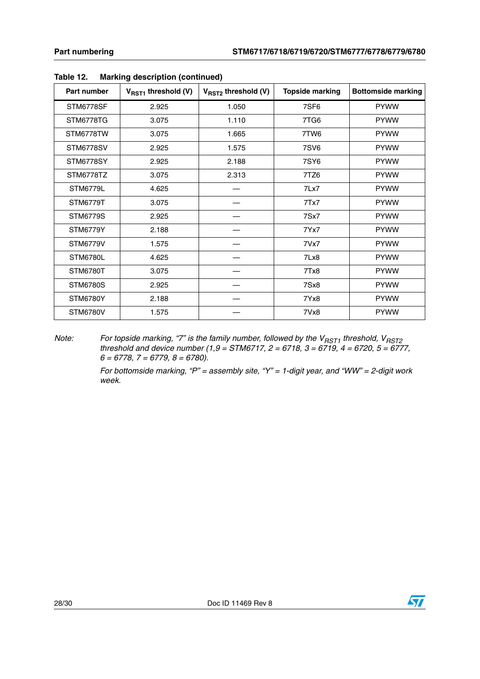| Part number     | $V_{RST1}$ threshold (V) | $V_{RST2}$ threshold (V) | <b>Topside marking</b> | <b>Bottomside marking</b> |
|-----------------|--------------------------|--------------------------|------------------------|---------------------------|
| STM6778SF       | 2.925                    | 1.050                    | 7SF <sub>6</sub>       | <b>PYWW</b>               |
| STM6778TG       | 3.075                    | 1.110                    | 7TG6                   | <b>PYWW</b>               |
| STM6778TW       | 3.075                    | 1.665                    | 7TW6                   | <b>PYWW</b>               |
| STM6778SV       | 2.925                    | 1.575                    | <b>7SV6</b>            | <b>PYWW</b>               |
| STM6778SY       | 2.925                    | 2.188                    | <b>7SY6</b>            | <b>PYWW</b>               |
| STM6778TZ       | 3.075                    | 2.313                    | 7TZ6                   | <b>PYWW</b>               |
| STM6779L        | 4.625                    |                          | 7Lx7                   | <b>PYWW</b>               |
| <b>STM6779T</b> | 3.075                    |                          | 7Tx7                   | <b>PYWW</b>               |
| <b>STM6779S</b> | 2.925                    |                          | 7Sx7                   | <b>PYWW</b>               |
| <b>STM6779Y</b> | 2.188                    |                          | 7Yx7                   | <b>PYWW</b>               |
| <b>STM6779V</b> | 1.575                    |                          | 7Vx7                   | <b>PYWW</b>               |
| STM6780L        | 4.625                    |                          | 7Lx8                   | <b>PYWW</b>               |
| <b>STM6780T</b> | 3.075                    |                          | 7Tx8                   | <b>PYWW</b>               |
| <b>STM6780S</b> | 2.925                    |                          | 7Sx8                   | <b>PYWW</b>               |
| <b>STM6780Y</b> | 2.188                    |                          | 7Yx8                   | <b>PYWW</b>               |
| <b>STM6780V</b> | 1.575                    |                          | 7Vx8                   | <b>PYWW</b>               |

#### **Table 12. Marking description (continued)**

*Note:* For topside marking, "7" is the family number, followed by the V<sub>RST1</sub> threshold, V<sub>RST2</sub> *threshold and device number (1,9 = STM6717, 2 = 6718, 3 = 6719, 4 = 6720, 5 = 6777, 6 = 6778, 7 = 6779, 8 = 6780).*

> *For bottomside marking, "P" = assembly site, "Y" = 1-digit year, and "WW" = 2-digit work week.*

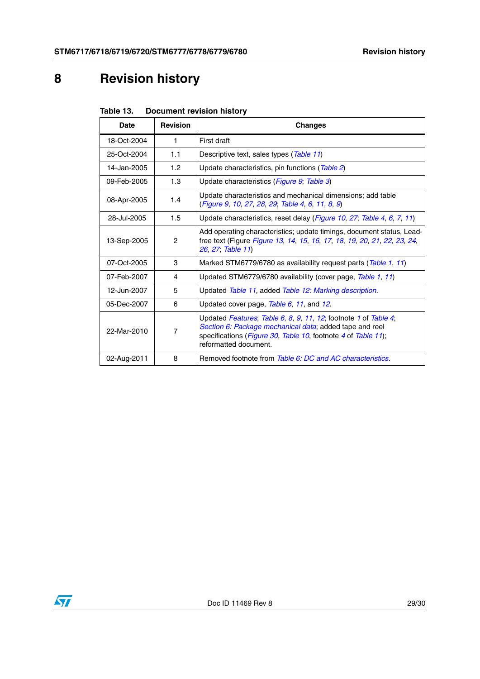# <span id="page-28-0"></span>**8 Revision history**

<span id="page-28-1"></span>

| Table 13. | <b>Document revision history</b> |  |
|-----------|----------------------------------|--|
|           |                                  |  |

| Date        | <b>Revision</b> | <b>Changes</b>                                                                                                                                                                                                               |
|-------------|-----------------|------------------------------------------------------------------------------------------------------------------------------------------------------------------------------------------------------------------------------|
| 18-Oct-2004 | 1               | First draft                                                                                                                                                                                                                  |
| 25-Oct-2004 | 1.1             | Descriptive text, sales types (Table 11)                                                                                                                                                                                     |
| 14-Jan-2005 | 1.2             | Update characteristics, pin functions (Table 2)                                                                                                                                                                              |
| 09-Feb-2005 | 1.3             | Update characteristics (Figure 9, Table 3)                                                                                                                                                                                   |
| 08-Apr-2005 | 1.4             | Update characteristics and mechanical dimensions; add table<br>(Figure 9, 10, 27, 28, 29, Table 4, 6, 11, 8, 9)                                                                                                              |
| 28-Jul-2005 | 1.5             | Update characteristics, reset delay (Figure 10, 27, Table 4, 6, 7, 11)                                                                                                                                                       |
| 13-Sep-2005 | $\mathcal{P}$   | Add operating characteristics; update timings, document status, Lead-<br>free text (Figure Figure 13, 14, 15, 16, 17, 18, 19, 20, 21, 22, 23, 24,<br>26, 27, Table 11)                                                       |
| 07-Oct-2005 | 3               | Marked STM6779/6780 as availability request parts (Table 1, 11)                                                                                                                                                              |
| 07-Feb-2007 | 4               | Updated STM6779/6780 availability (cover page, Table 1, 11)                                                                                                                                                                  |
| 12-Jun-2007 | 5               | Updated Table 11, added Table 12: Marking description.                                                                                                                                                                       |
| 05-Dec-2007 | 6               | Updated cover page, Table 6, 11, and 12.                                                                                                                                                                                     |
| 22-Mar-2010 | $\overline{7}$  | Updated <i>Features: Table 6, 8, 9, 11, 12</i> ; footnote 1 of Table 4;<br>Section 6: Package mechanical data; added tape and reel<br>specifications (Figure 30, Table 10, footnote 4 of Table 11);<br>reformatted document. |
| 02-Aug-2011 | 8               | Removed footnote from Table 6: DC and AC characteristics.                                                                                                                                                                    |